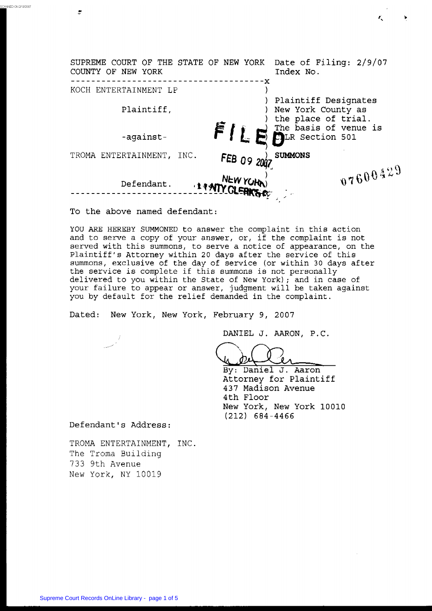| SUPREME COURT OF THE STATE OF NEW YORK<br>COUNTY OF NEW YORK |             | Date of Filing: 2/9/07<br>Index No.                               |
|--------------------------------------------------------------|-------------|-------------------------------------------------------------------|
| KOCH ENTERTAINMENT LP<br>Plaintiff,                          |             | Plaintiff Designates<br>New York County as<br>the place of trial. |
| -against-                                                    | FILf        | The basis of venue is<br>TLR Section 501                          |
| TROMA ENTERTAINMENT,<br>INC.                                 | FEB 09 2007 | <b>SUMMONS</b>                                                    |
| Defendant.                                                   | NEW YORK)   | 07600429                                                          |

**To the above named defendant:** 

*c* +

.<br>CANNED ON 2/13/2007

YOU ARE HEREBY **SUMMONED** to answer the complaint in this action and to **serve** a copy of your **answer, or,** if the complaint is not served with this summons, to serve a notice of appearance, on the Plaintiff's Attorney within 20 days after the service of this summons, exclusive of the day of service (or within 30 days after the service is complete if this summons is not personally delivered to you within the State of New York); and in case of your failure to appear or answer, judgment will be taken against you by default for the relief demanded in the complaint.

**Dated: New** York, **New York, February 9,** 2007

**DANIEL J. AARON, P.C.** *<sup>J</sup>*

By: Daniel J. Aaron **Attorney for Plaintiff 437 Madison Avenue 4th Floor New** York, **New** York 10010 (212) **684-4466** 

**Defendant's Address:** 

TROMA ENTERTAINMENT, INC. The Troma Building *733* 9th Avenue New York, NY 10019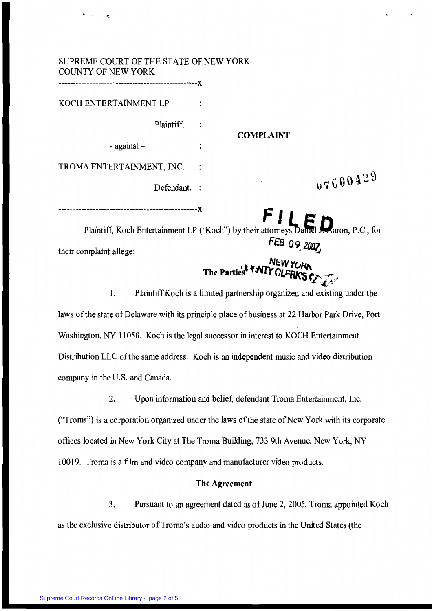| SUPREME COURT OF THE STATE OF NEW YORK<br><b>COUNTY OF NEW YORK</b><br>--------------------------X |                                                                                                                 |
|----------------------------------------------------------------------------------------------------|-----------------------------------------------------------------------------------------------------------------|
| KOCH ENTERTAINMENT LP                                                                              |                                                                                                                 |
| Plaintiff,                                                                                         |                                                                                                                 |
| - against $-$                                                                                      | <b>COMPLAINT</b>                                                                                                |
| TROMA ENTERTAINMENT, INC.                                                                          |                                                                                                                 |
| Defendant. :                                                                                       | 07600429                                                                                                        |
| their complaint allege:                                                                            | Plaintiff, Koch Entertainment LP ("Koch") by their attorneys Daniel Maron, P.C., for<br>FEB 09 2007<br>NEW YORK |
| 1.                                                                                                 | Plaintiff Koch is a limited partnership organized and existing under the                                        |

laws of the state of Delaware with its principlc place of business at 22 Harbor Park Drive, Port Washington, NY 11050. Koch is the legal successor **in** interest to KOCH Entertainment Distribution LLC of the same address. Koch is an independent music and video distribution company in the **U.S.** and Canada.

2. Upon information and belief, defendant Troma Entertainment, Inc. (Troma") is **a** corporation organized under the laws of the state of New York with its corporate offices located in New **York** City at The Troma Building, 733 9th Avenue, New York, *NY*  10019. Troma is a film and video company and manufacturer video products.

#### **The Agreement**

**3.** Pursuant to an agreement dated **as** of June 2,2005, Troma appointed Koch **as** the exclusive distributor of Troma's audio and video products in the United States (the

**<sup>4</sup>**. *c\_*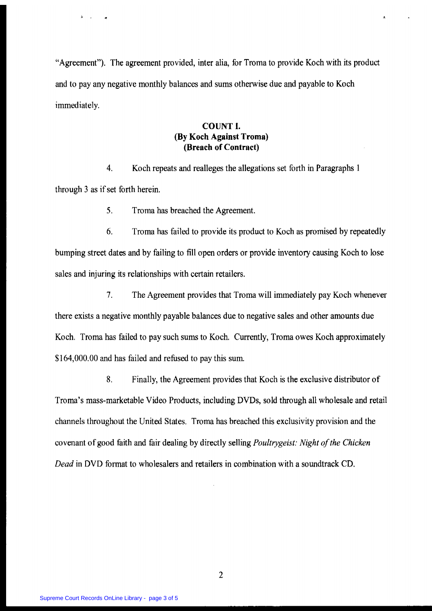"Agreement"). The agreement provided, inter alia, for Troma to provide Koch with its product and to pay any negative monthly balances and sums otherwise **due** and payable to Koch immediately.

## **COUNT 1. (By Koch Against Troma) (Breach of Contract)**

**4.** Koch repeats and realleges the allegations set forth in Paragraphs 1 through 3 **as** if set forth herein.

> *5.*  Troma has breached the Agreement.

*6.*  Troma **has** failed to provide its product to Koch as promised by repeatedly bumping street dates and by failing to fill open orders or provide inventory causing Koch to lose sales and injuring its relationships with certain retailers.

**7.** The Agreement provides that Troma will immediately pay Koch whenever there exists a negative monthly payable balances due to negative sales and other amounts due Koch. Troma has failed to pay such sums to Koch. Currently, Troma owes Koch approximately \$164,000.00 and has failed and refused to pay this sum.

8. Finally, the Agreement provides that Koch is the exclusive distributor of Troma's mass-marketable Video Products, including DVDs, sold through all wholesale and retail channels throughout the United States. Troma has breached this exclusivity provision and the covenant of good faith and fair dealing by directly selling *Paultrygeist: Night of'the Chicken Dead* in DVD format to wholesalers and retailers in combination with a soundtrack CD.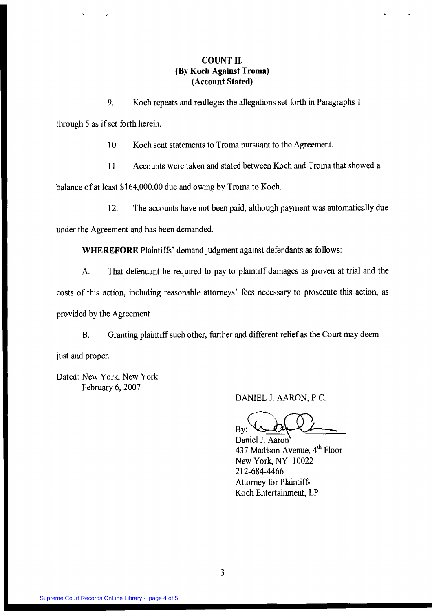# **COUNT 11. (By Koch Against Troms) (Account Stated)**

**9.** Koch repeats and realleges the allegations set forth in Paragraphs I

through *5* **as** if set forth herein.

10. Koch sent statements to Troma pursuant to the Agreement.

1 1. Accounts were taken and stated between Koch and Troma that showed a

balance of at least \$1 64,000.00 due and owing by Troma to Koch.

12. The accounts have not been paid, although payment was automatically due

under the Agreement and has been demanded.

**WHEREFORE** Plaintiffs' demand judgment against defendants **as** follows:

**A.** That defendant be required to pay to plaintiff damages **as** proven at trial and the costs of this action, including reasonable attorneys' fees necessary to prosecute this action, **as**  provided by the Agreement.

€3. Granting plaintiff such other, further **and** different relief as the Court may deem

just and proper.

Dated: New York, New **York**  February 6, 2007

DANIEL J. AARON, P.C.

 $-$ 

DANIEL J. AARON, P.C.<br>By: <u>Canadial</u> By: Baniel J. Aaron<br>437 Madison Avenue, 4<sup>th</sup> Floor<br>New York NY 10022 437 Madison Avenue, **qfh** Floor New York, NY 10022 Attorney for Plaintiff-Koch Entertainment, LP 2 12-684-4466